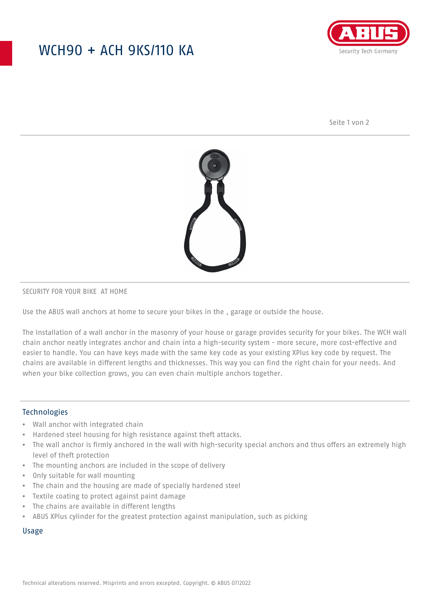## WCH90 + ACH 9KS/110 KA



Seite 1 von 2



#### SECURITY FOR YOUR BIKE AT HOME

Use the ABUS wall anchors at home to secure your bikes in the , garage or outside the house.

The Installation of a wall anchor in the masonry of your house or garage provides security for your bikes. The WCH wall chain anchor neatly integrates anchor and chain into a high-security system - more secure, more cost-effective and easier to handle. You can have keys made with the same key code as your existing XPlus key code by request. The chains are available in different lengths and thicknesses. This way you can find the right chain for your needs. And when your bike collection grows, you can even chain multiple anchors together.

### Technologies

- Wall anchor with integrated chain
- Hardened steel housing for high resistance against theft attacks.
- The wall anchor is firmly anchored in the wall with high-security special anchors and thus offers an extremely high level of theft protection
- The mounting anchors are included in the scope of delivery
- Only suitable for wall mounting
- The chain and the housing are made of specially hardened steel
- Textile coating to protect against paint damage
- The chains are available in different lengths
- ABUS XPlus cylinder for the greatest protection against manipulation, such as picking

#### Usage